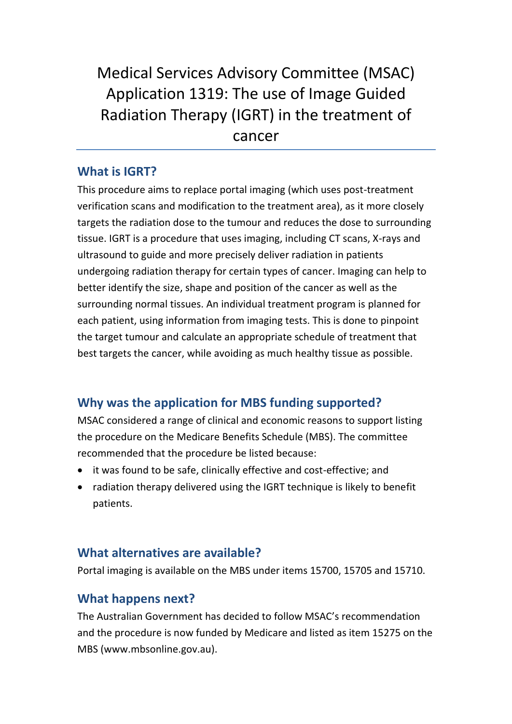Medical Services Advisory Committee (MSAC) Application 1319: The use of Image Guided Radiation Therapy (IGRT) in the treatment of cancer

# **What is IGRT?**

This procedure aims to replace portal imaging (which uses post-treatment verification scans and modification to the treatment area), as it more closely targets the radiation dose to the tumour and reduces the dose to surrounding tissue. IGRT is a procedure that uses imaging, including CT scans, X-rays and ultrasound to guide and more precisely deliver radiation in patients undergoing radiation therapy for certain types of cancer. Imaging can help to better identify the size, shape and position of the cancer as well as the surrounding normal tissues. An individual treatment program is planned for each patient, using information from imaging tests. This is done to pinpoint the target tumour and calculate an appropriate schedule of treatment that best targets the cancer, while avoiding as much healthy tissue as possible.

## **Why was the application for MBS funding supported?**

MSAC considered a range of clinical and economic reasons to support listing the procedure on the Medicare Benefits Schedule (MBS). The committee recommended that the procedure be listed because:

- it was found to be safe, clinically effective and cost-effective; and
- radiation therapy delivered using the IGRT technique is likely to benefit patients.

#### **What alternatives are available?**

Portal imaging is available on the MBS under items 15700, 15705 and 15710.

## **What happens next?**

The Australian Government has decided to follow MSAC's recommendation and the procedure is now funded by Medicare and listed as item 15275 on the MBS (www.mbsonline.gov.au).